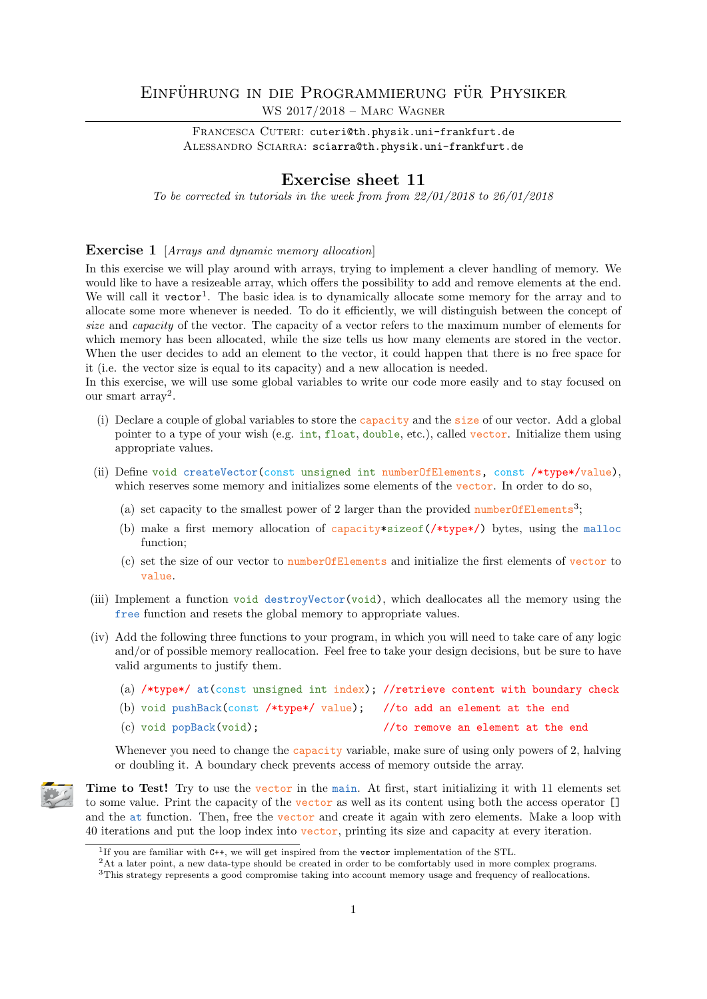## EINFÜHRUNG IN DIE PROGRAMMIERUNG FÜR PHYSIKER

WS 2017/2018 – Marc Wagner

FRANCESCA CUTERI: cuteri@th.physik.uni-frankfurt.de ALESSANDRO SCIARRA: sciarra@th.physik.uni-frankfurt.de

## Exercise sheet 11

To be corrected in tutorials in the week from from  $22/01/2018$  to  $26/01/2018$ 

## **Exercise 1** [Arrays and dynamic memory allocation]

In this exercise we will play around with arrays, trying to implement a clever handling of memory. We would like to have a resizeable array, which offers the possibility to add and remove elements at the end. We will call it vector<sup>1</sup>. The basic idea is to dynamically allocate some memory for the array and to allocate some more whenever is needed. To do it efficiently, we will distinguish between the concept of size and *capacity* of the vector. The capacity of a vector refers to the maximum number of elements for which memory has been allocated, while the size tells us how many elements are stored in the vector. When the user decides to add an element to the vector, it could happen that there is no free space for it (i.e. the vector size is equal to its capacity) and a new allocation is needed.

In this exercise, we will use some global variables to write our code more easily and to stay focused on our smart  $\arctan^2$ .

- (i) Declare a couple of global variables to store the capacity and the size of our vector. Add a global pointer to a type of your wish (e.g. int, float, double, etc.), called vector. Initialize them using appropriate values.
- (ii) Define void createVector(const unsigned int numberOfElements, const /\*type\*/value), which reserves some memory and initializes some elements of the vector. In order to do so,
	- (a) set capacity to the smallest power of 2 larger than the provided number Of Elements<sup>3</sup>;
	- (b) make a first memory allocation of capacity\*sizeof( $/*type*/$ ) bytes, using the malloc function;
	- (c) set the size of our vector to numberOfElements and initialize the first elements of vector to value.
- (iii) Implement a function void destroyVector(void), which deallocates all the memory using the free function and resets the global memory to appropriate values.
- (iv) Add the following three functions to your program, in which you will need to take care of any logic and/or of possible memory reallocation. Feel free to take your design decisions, but be sure to have valid arguments to justify them.
	- (a) /\*type\*/ at(const unsigned int index); //retrieve content with boundary check (b) void pushBack(const /\*type\*/ value); //to add an element at the end (c) void popBack(void); //to remove an element at the end

Whenever you need to change the capacity variable, make sure of using only powers of 2, halving or doubling it. A boundary check prevents access of memory outside the array.



Time to Test! Try to use the vector in the main. At first, start initializing it with 11 elements set to some value. Print the capacity of the vector as well as its content using both the access operator [] and the at function. Then, free the vector and create it again with zero elements. Make a loop with 40 iterations and put the loop index into vector, printing its size and capacity at every iteration.

<sup>1</sup> If you are familiar with C++, we will get inspired from the vector implementation of the STL.

<sup>2</sup>At a later point, a new data-type should be created in order to be comfortably used in more complex programs.

<sup>3</sup>This strategy represents a good compromise taking into account memory usage and frequency of reallocations.